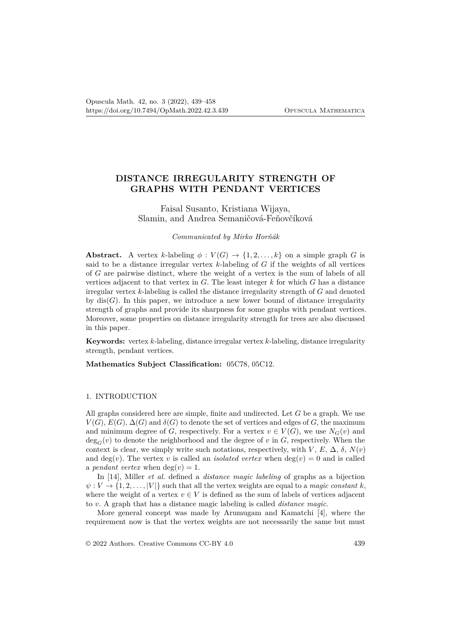# **DISTANCE IRREGULARITY STRENGTH OF GRAPHS WITH PENDANT VERTICES**

Faisal Susanto, Kristiana Wijaya, Slamin, and Andrea Semaničová-Feňovčíková

## *Communicated by Mirko Horňák*

**Abstract.** A vertex *k*-labeling  $\phi: V(G) \to \{1, 2, \ldots, k\}$  on a simple graph *G* is said to be a distance irregular vertex  $k$ -labeling of  $G$  if the weights of all vertices of *G* are pairwise distinct, where the weight of a vertex is the sum of labels of all vertices adjacent to that vertex in *G*. The least integer *k* for which *G* has a distance irregular vertex *k*-labeling is called the distance irregularity strength of *G* and denoted by  $dis(G)$ . In this paper, we introduce a new lower bound of distance irregularity strength of graphs and provide its sharpness for some graphs with pendant vertices. Moreover, some properties on distance irregularity strength for trees are also discussed in this paper.

**Keywords:** vertex *k*-labeling, distance irregular vertex *k*-labeling, distance irregularity strength, pendant vertices.

**Mathematics Subject Classification:** 05C78, 05C12.

### 1. INTRODUCTION

All graphs considered here are simple, finite and undirected. Let *G* be a graph. We use  $V(G)$ ,  $E(G)$ ,  $\Delta(G)$  and  $\delta(G)$  to denote the set of vertices and edges of *G*, the maximum and minimum degree of *G*, respectively. For a vertex  $v \in V(G)$ , we use  $N_G(v)$  and  $deg_G(v)$  to denote the neighborhood and the degree of *v* in *G*, respectively. When the context is clear, we simply write such notations, respectively, with *V*,  $E$ ,  $\Delta$ ,  $\delta$ ,  $N(v)$ and deg(*v*). The vertex *v* is called an *isolated vertex* when deg(*v*) = 0 and is called a *pendant vertex* when  $deg(v) = 1$ .

In [14], Miller *et al.* defined a *distance magic labeling* of graphs as a bijection  $\psi: V \to \{1, 2, \ldots, |V|\}$  such that all the vertex weights are equal to a *magic constant k*, where the weight of a vertex  $v \in V$  is defined as the sum of labels of vertices adjacent to *v*. A graph that has a distance magic labeling is called *distance magic*.

More general concept was made by Arumugam and Kamatchi [4], where the requirement now is that the vertex weights are not necessarily the same but must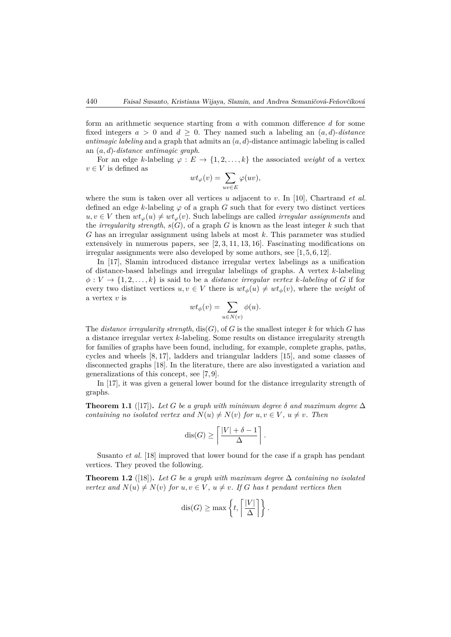form an arithmetic sequence starting from *a* with common difference *d* for some fixed integers  $a > 0$  and  $d \geq 0$ . They named such a labeling an  $(a, d)$ -*distance antimagic labeling* and a graph that admits an (*a, d*)-distance antimagic labeling is called an (*a, d*)-*distance antimagic graph*.

For an edge *k*-labeling  $\varphi : E \to \{1, 2, \ldots, k\}$  the associated *weight* of a vertex  $v \in V$  is defined as

$$
wt_{\varphi}(v) = \sum_{uv \in E} \varphi(uv),
$$

where the sum is taken over all vertices *u* adjacent to *v*. In [10], Chartrand *et al.* defined an edge *k*-labeling  $\varphi$  of a graph *G* such that for every two distinct vertices  $u, v \in V$  then  $wt_\varphi(u) \neq wt_\varphi(v)$ . Such labelings are called *irregular assignments* and the *irregularity strength*,  $s(G)$ , of a graph *G* is known as the least integer *k* such that *G* has an irregular assignment using labels at most *k*. This parameter was studied extensively in numerous papers, see [2, 3, 11, 13, 16]. Fascinating modifications on irregular assignments were also developed by some authors, see [1, 5, 6, 12].

In [17], Slamin introduced distance irregular vertex labelings as a unification of distance-based labelings and irregular labelings of graphs. A vertex *k*-labeling  $\phi: V \to \{1, 2, \ldots, k\}$  is said to be a *distance irregular vertex k*-*labeling* of *G* if for every two distinct vertices  $u, v \in V$  there is  $wt_{\phi}(u) \neq wt_{\phi}(v)$ , where the *weight* of a vertex *v* is

$$
wt_{\phi}(v) = \sum_{u \in N(v)} \phi(u).
$$

The *distance irregularity strength*,  $dis(G)$ , of *G* is the smallest integer *k* for which *G* has a distance irregular vertex *k*-labeling. Some results on distance irregularity strength for families of graphs have been found, including, for example, complete graphs, paths, cycles and wheels [8, 17], ladders and triangular ladders [15], and some classes of disconnected graphs [18]. In the literature, there are also investigated a variation and generalizations of this concept, see [7, 9].

In [17], it was given a general lower bound for the distance irregularity strength of graphs.

**Theorem 1.1** ([17]). Let G be a graph with minimum degree  $\delta$  and maximum degree  $\Delta$ *containing no isolated vertex and*  $N(u) \neq N(v)$  *for*  $u, v \in V$ *,*  $u \neq v$ *. Then* 

$$
\operatorname{dis}(G) \ge \left\lceil \frac{|V| + \delta - 1}{\Delta} \right\rceil.
$$

Susanto *et al.* [18] improved that lower bound for the case if a graph has pendant vertices. They proved the following.

**Theorem 1.2** ([18]). Let G be a graph with maximum degree  $\Delta$  containing no isolated *vertex and*  $N(u) \neq N(v)$  *for*  $u, v \in V$ ,  $u \neq v$ . If G has *t* pendant vertices then

$$
\operatorname{dis}(G) \ge \max\left\{t, \left\lceil \frac{|V|}{\Delta} \right\rceil \right\}.
$$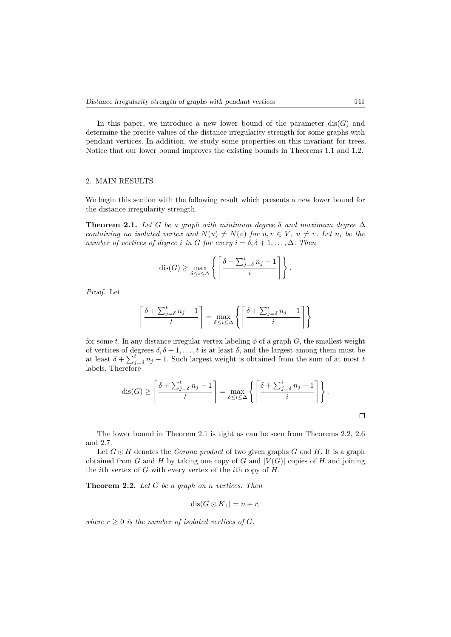In this paper, we introduce a new lower bound of the parameter  $dis(G)$  and determine the precise values of the distance irregularity strength for some graphs with pendant vertices. In addition, we study some properties on this invariant for trees. Notice that our lower bound improves the existing bounds in Theorems 1.1 and 1.2.

## 2. MAIN RESULTS

We begin this section with the following result which presents a new lower bound for the distance irregularity strength.

**Theorem 2.1.** Let G be a graph with minimum degree  $\delta$  and maximum degree  $\Delta$ *containing no isolated vertex and*  $N(u) \neq N(v)$  *for*  $u, v \in V$ ,  $u \neq v$ *. Let*  $n_i$  *be the number of vertices of degree i in G for every*  $i = \delta, \delta + 1, \ldots, \Delta$ *. Then* 

$$
\operatorname{dis}(G) \ge \max_{\delta \le i \le \Delta} \left\{ \left\lceil \frac{\delta + \sum_{j=\delta}^i n_j - 1}{i} \right\rceil \right\}.
$$

*Proof.* Let

$$
\left\lceil \frac{\delta + \sum_{j=\delta}^t n_j - 1}{t} \right\rceil = \max_{\delta \le i \le \Delta} \left\{ \left\lceil \frac{\delta + \sum_{j=\delta}^i n_j - 1}{i} \right\rceil \right\}
$$

for some *t*. In any distance irregular vertex labeling  $\phi$  of a graph *G*, the smallest weight of vertices of degrees  $\delta, \delta + 1, \ldots, t$  is at least  $\delta$ , and the largest among them must be at least  $\delta + \sum_{j=0}^{t} n_j - 1$ . Such largest weight is obtained from the sum of at most *t* labels. Therefore

$$
\operatorname{dis}(G) \ge \left\lceil \frac{\delta + \sum_{j=\delta}^t n_j - 1}{t} \right\rceil = \max_{\delta \le i \le \Delta} \left\{ \left\lceil \frac{\delta + \sum_{j=\delta}^i n_j - 1}{i} \right\rceil \right\}.
$$

The lower bound in Theorem 2.1 is tight as can be seen from Theorems 2.2, 2.6 and 2.7.

Let  $G \odot H$  denotes the *Corona product* of two given graphs *G* and *H*. It is a graph obtained from *G* and *H* by taking one copy of *G* and  $|V(G)|$  copies of *H* and joining the *i*th vertex of *G* with every vertex of the *i*th copy of *H*.

**Theorem 2.2.** *Let G be a graph on n vertices. Then*

$$
\operatorname{dis}(G \odot K_1) = n + r,
$$

*where*  $r \geq 0$  *is the number of isolated vertices of G.*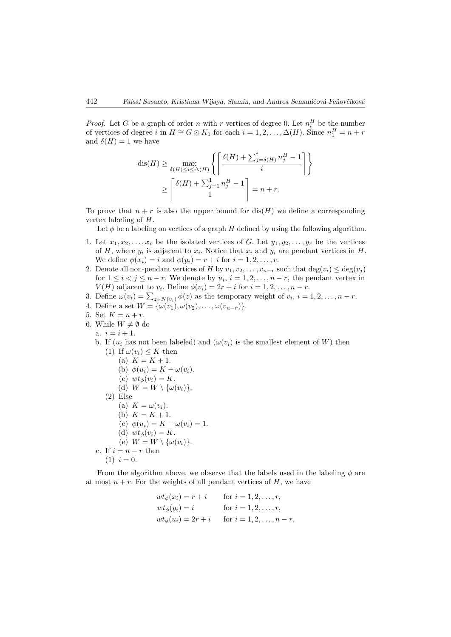*Proof.* Let *G* be a graph of order *n* with *r* vertices of degree 0. Let  $n_i^H$  be the number of vertices of degree *i* in  $H \cong G \odot K_1$  for each  $i = 1, 2, ..., \Delta(H)$ . Since  $n_1^H = n + r$ and  $\delta(H) = 1$  we have

$$
\begin{aligned} \mathrm{dis}(H) &\geq \max_{\delta(H) \leq i \leq \Delta(H)} \left\{ \left\lceil \frac{\delta(H) + \sum_{j=\delta(H)}^i n_j^H - 1}{i} \right\rceil \right\} \\ &\geq \left\lceil \frac{\delta(H) + \sum_{j=1}^1 n_j^H - 1}{1} \right\rceil = n + r. \end{aligned}
$$

To prove that  $n + r$  is also the upper bound for  $dis(H)$  we define a corresponding vertex labeling of *H*.

Let  $\phi$  be a labeling on vertices of a graph *H* defined by using the following algorithm.

- 1. Let  $x_1, x_2, \ldots, x_r$  be the isolated vertices of *G*. Let  $y_1, y_2, \ldots, y_r$  be the vertices of  $H$ , where  $y_i$  is adjacent to  $x_i$ . Notice that  $x_i$  and  $y_i$  are pendant vertices in  $H$ . We define  $\phi(x_i) = i$  and  $\phi(y_i) = r + i$  for  $i = 1, 2, ..., r$ .
- 2. Denote all non-pendant vertices of *H* by  $v_1, v_2, \ldots, v_{n-r}$  such that  $\deg(v_i) \leq \deg(v_j)$ for  $1 \leq i < j \leq n-r$ . We denote by  $u_i$ ,  $i = 1, 2, \ldots, n-r$ , the pendant vertex in *V*(*H*) adjacent to *v*<sub>*i*</sub>. Define  $\phi(v_i) = 2r + i$  for  $i = 1, 2, \ldots, n - r$ .
- 3. Define  $\omega(v_i) = \sum_{z \in N(v_i)} \phi(z)$  as the temporary weight of  $v_i$ ,  $i = 1, 2, \ldots, n-r$ .
- 4. Define a set  $W = {\omega(v_1), \omega(v_2), \dots, \omega(v_{n-r})}.$
- 5. Set  $K = n + r$ .
- 6. While  $W \neq \emptyset$  do
	- a.  $i = i + 1$ .
	- b. If  $(u_i$  has not been labeled) and  $(\omega(v_i))$  is the smallest element of *W*) then
	- (1) If  $\omega(v_i) \leq K$  then (a)  $K = K + 1$ . (b)  $\phi(u_i) = K - \omega(v_i)$ . (c)  $wt_{\phi}(v_i) = K$ . (d)  $W = W \setminus {\omega(v_i)}$ .  $(2)$  Else (a)  $K = \omega(v_i)$ . (b)  $K = K + 1$ . (c)  $\phi(u_i) = K - \omega(v_i) = 1.$ (d)  $wt_{\phi}(v_i) = K$ . (e)  $W = W \setminus {\{\omega(v_i)\}}$ . c. If  $i = n - r$  then  $(1)$   $i = 0$ .

From the algorithm above, we observe that the labels used in the labeling  $\phi$  are at most  $n + r$ . For the weights of all pendant vertices of *H*, we have

$$
wt_{\phi}(x_i) = r + i \quad \text{for } i = 1, 2, ..., r,
$$
  
\n
$$
wt_{\phi}(y_i) = i \quad \text{for } i = 1, 2, ..., r,
$$
  
\n
$$
wt_{\phi}(u_i) = 2r + i \quad \text{for } i = 1, 2, ..., n - r.
$$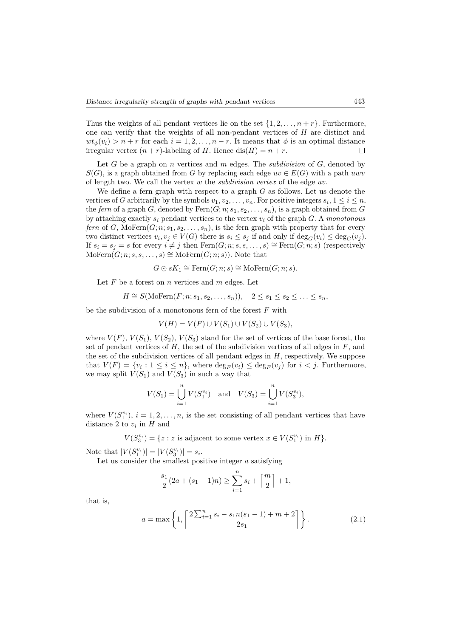Thus the weights of all pendant vertices lie on the set  $\{1, 2, \ldots, n + r\}$ . Furthermore, one can verify that the weights of all non-pendant vertices of *H* are distinct and  $wt_{\phi}(v_i) > n + r$  for each  $i = 1, 2, ..., n - r$ . It means that  $\phi$  is an optimal distance irregular vertex  $(n + r)$ -labeling of *H*. Hence dis $(H) = n + r$ . irregular vertex  $(n + r)$ -labeling of *H*. Hence dis $(H) = n + r$ .

Let *G* be a graph on *n* vertices and *m* edges. The *subdivision* of *G*, denoted by  $S(G)$ , is a graph obtained from *G* by replacing each edge  $uv \in E(G)$  with a path *uwv* of length two. We call the vertex *w* the *subdivision vertex* of the edge *uv*.

We define a fern graph with respect to a graph *G* as follows. Let us denote the vertices of *G* arbitrarily by the symbols  $v_1, v_2, \ldots, v_n$ . For positive integers  $s_i, 1 \le i \le n$ , the *fern* of a graph *G*, denoted by  $\text{Fern}(G; n; s_1, s_2, \ldots, s_n)$ , is a graph obtained from *G* by attaching exactly *s<sup>i</sup>* pendant vertices to the vertex *v<sup>i</sup>* of the graph *G*. A *monotonous fern* of *G*, MoFern $(G; n; s_1, s_2, \ldots, s_n)$ , is the fern graph with property that for every two distinct vertices  $v_i, v_j \in V(G)$  there is  $s_i \leq s_j$  if and only if  $\deg_G(v_i) \leq \deg_G(v_j)$ . If  $s_i = s_j = s$  for every  $i \neq j$  then Fern(*G*; *n*; *s*, *s*, . . . , *s*) ≅ Fern(*G*; *n*; *s*) (respectively  $\text{MoFern}(G; n; s, s, \ldots, s) \cong \text{MoFern}(G; n; s)$ . Note that

$$
G \odot sK_1 \cong \text{Fern}(G; n; s) \cong \text{MoFern}(G; n; s).
$$

Let *F* be a forest on *n* vertices and *m* edges. Let

$$
H \cong S(\text{MoFern}(F; n; s_1, s_2, \dots, s_n)), \quad 2 \le s_1 \le s_2 \le \dots \le s_n,
$$

be the subdivision of a monotonous fern of the forest *F* with

$$
V(H) = V(F) \cup V(S_1) \cup V(S_2) \cup V(S_3),
$$

where  $V(F)$ ,  $V(S_1)$ ,  $V(S_2)$ ,  $V(S_3)$  stand for the set of vertices of the base forest, the set of pendant vertices of *H*, the set of the subdivision vertices of all edges in *F*, and the set of the subdivision vertices of all pendant edges in *H*, respectively. We suppose that  $V(F) = \{v_i : 1 \le i \le n\}$ , where  $\deg_F(v_i) \le \deg_F(v_j)$  for  $i < j$ . Furthermore, we may split  $V(S_1)$  and  $V(S_3)$  in such a way that

$$
V(S_1) = \bigcup_{i=1}^{n} V(S_1^{v_i}) \text{ and } V(S_3) = \bigcup_{i=1}^{n} V(S_3^{v_i}),
$$

where  $V(S_1^{v_i})$ ,  $i = 1, 2, ..., n$ , is the set consisting of all pendant vertices that have distance 2 to  $v_i$  in  $H$  and

 $V(S_3^{v_i}) = \{z : z \text{ is adjacent to some vertex } x \in V(S_1^{v_i}) \text{ in } H\}.$ 

Note that  $|V(S_1^{v_i})| = |V(S_3^{v_i})| = s_i$ .

Let us consider the smallest positive integer *a* satisfying

$$
\frac{s_1}{2}(2a + (s_1 - 1)n) \ge \sum_{i=1}^n s_i + \left\lceil \frac{m}{2} \right\rceil + 1,
$$

that is,

$$
a = \max\left\{1, \left\lceil \frac{2\sum_{i=1}^{n} s_i - s_1 n(s_1 - 1) + m + 2}{2s_1} \right\rceil \right\}.
$$
 (2.1)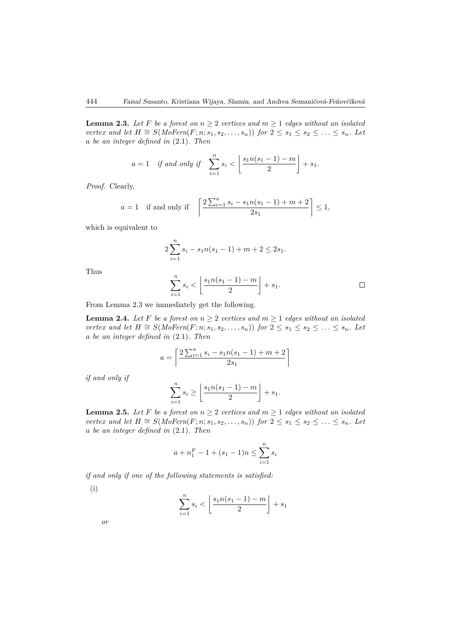**Lemma 2.3.** Let F be a forest on  $n \geq 2$  vertices and  $m \geq 1$  edges without an isolated *vertex and let H*  $\cong$  *S*(*MoFern*(*F*; *n*; *s*<sub>1</sub>, *s*<sub>2</sub>, . . . , *s*<sub>n</sub>)) *for* 2 ≤ *s*<sub>1</sub> ≤ *s*<sub>2</sub> ≤ . . . ≤ *s*<sub>n</sub>. Let *a be an integer defined in* (2.1)*. Then*

$$
a = 1 \quad \text{if and only if} \quad \sum_{i=1}^n s_i < \left\lfloor \frac{s_1 n (s_1 - 1) - m}{2} \right\rfloor + s_1.
$$

*Proof.* Clearly,

$$
a = 1
$$
 if and only if  $\left[ \frac{2 \sum_{i=1}^{n} s_i - s_1 n(s_1 - 1) + m + 2}{2s_1} \right] \le 1$ ,

which is equivalent to

$$
2\sum_{i=1}^{n} s_i - s_1 n(s_1 - 1) + m + 2 \le 2s_1.
$$

Thus

$$
\sum_{i=1}^{n} s_i < \left\lfloor \frac{s_1 n (s_1 - 1) - m}{2} \right\rfloor + s_1. \qquad \Box
$$

From Lemma 2.3 we immediately get the following.

**Lemma 2.4.** Let F be a forest on  $n \geq 2$  vertices and  $m \geq 1$  edges without an isolated *vertex and let H*  $\cong$  *S*(*MoFern*(*F*; *n*; *s*<sub>1</sub>, *s*<sub>2</sub>, . . . , *s*<sub>n</sub>)) *for* 2 ≤ *s*<sub>1</sub> ≤ *s*<sub>2</sub> ≤ . . . ≤ *s*<sub>n</sub>*. Let a be an integer defined in* (2.1)*. Then*

$$
a = \left\lceil \frac{2\sum_{i=1}^{n} s_i - s_1 n(s_1 - 1) + m + 2}{2s_1} \right\rceil
$$

*if and only if*

$$
\sum_{i=1}^{n} s_i \ge \left\lfloor \frac{s_1 n (s_1 - 1) - m}{2} \right\rfloor + s_1.
$$

**Lemma 2.5.** Let F be a forest on  $n \geq 2$  vertices and  $m \geq 1$  edges without an isolated *vertex and let H*  $\cong$  *S*(*MoFern*(*F*; *n*; *s*<sub>1</sub>, *s*<sub>2</sub>, . . . , *s*<sub>n</sub>)) *for* 2 ≤ *s*<sub>1</sub> ≤ *s*<sub>2</sub> ≤ . . . ≤ *s*<sub>n</sub>. Let *a be an integer defined in* (2.1)*. Then*

$$
a + n_1^F - 1 + (s_1 - 1)n \le \sum_{i=1}^n s_i
$$

*if and only if one of the following statements is satisfied:*

(i)

$$
\sum_{i=1}^{n} s_i < \left\lfloor \frac{s_1 n (s_1 - 1) - m}{2} \right\rfloor + s_1
$$

*or*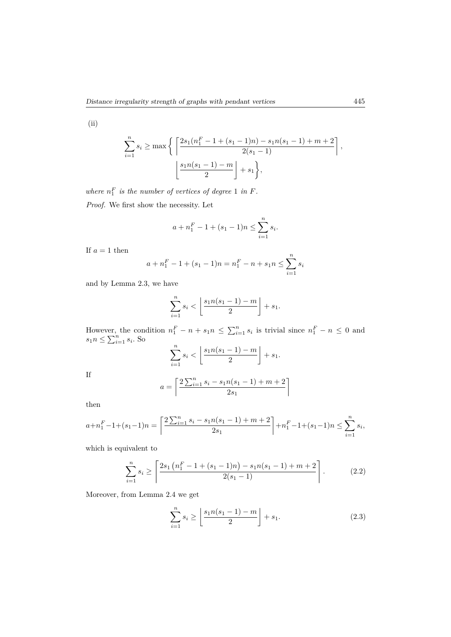(ii)

$$
\sum_{i=1}^{n} s_i \ge \max \left\{ \left[ \frac{2s_1(n_1^F - 1 + (s_1 - 1)n) - s_1 n(s_1 - 1) + m + 2}{2(s_1 - 1)} \right], \frac{s_1 n(s_1 - 1) - m}{2} \right\}
$$

where  $n_1^F$  is the number of vertices of degree 1 in *F*. *Proof.* We first show the necessity. Let

$$
a + n_1^F - 1 + (s_1 - 1)n \le \sum_{i=1}^n s_i.
$$

If  $a = 1$  then

$$
a + n_1^F - 1 + (s_1 - 1)n = n_1^F - n + s_1 n \le \sum_{i=1}^n s_i
$$

and by Lemma 2.3, we have

$$
\sum_{i=1}^{n} s_i < \left\lfloor \frac{s_1 n (s_1 - 1) - m}{2} \right\rfloor + s_1.
$$

However, the condition  $n_1^F - n + s_1 n \le \sum_{i=1}^n s_i$  is trivial since  $n_1^F - n \le 0$  and  $s_1 n \leq \sum_{i=1}^n s_i$ . So

$$
\sum_{i=1}^{n} s_i < \left\lfloor \frac{s_1 n (s_1 - 1) - m}{2} \right\rfloor + s_1.
$$

If

$$
a = \left\lceil \frac{2\sum_{i=1}^{n} s_i - s_1 n(s_1 - 1) + m + 2}{2s_1} \right\rceil
$$

then

$$
a+n_1^F-1+(s_1-1)n = \left\lceil \frac{2\sum_{i=1}^n s_i - s_1 n(s_1-1) + m + 2}{2s_1} \right\rceil + n_1^F-1+(s_1-1)n \le \sum_{i=1}^n s_i,
$$

which is equivalent to

$$
\sum_{i=1}^{n} s_i \ge \left\lceil \frac{2s_1\left(n_1^F - 1 + (s_1 - 1)n\right) - s_1 n(s_1 - 1) + m + 2}{2(s_1 - 1)} \right\rceil. \tag{2.2}
$$

Moreover, from Lemma 2.4 we get

$$
\sum_{i=1}^{n} s_i \ge \left\lfloor \frac{s_1 n (s_1 - 1) - m}{2} \right\rfloor + s_1. \tag{2.3}
$$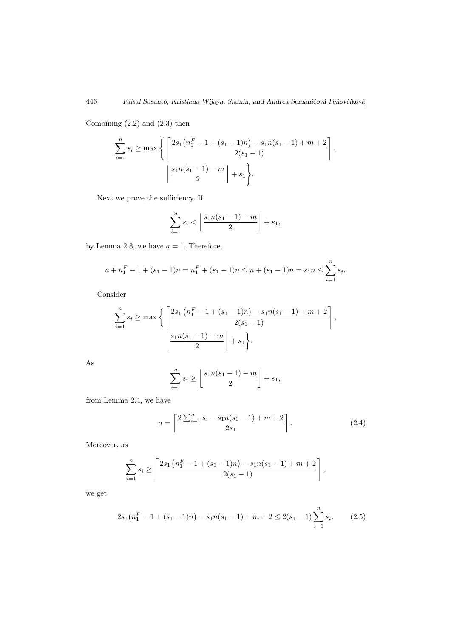Combining (2.2) and (2.3) then

$$
\sum_{i=1}^{n} s_i \ge \max \left\{ \left[ \frac{2s_1(n_1^F - 1 + (s_1 - 1)n) - s_1 n(s_1 - 1) + m + 2}{2(s_1 - 1)} \right], \frac{s_1 n(s_1 - 1) - m}{2} \right\}.
$$

Next we prove the sufficiency. If

$$
\sum_{i=1}^n s_i < \left\lfloor \frac{s_1 n (s_1 - 1) - m}{2} \right\rfloor + s_1,
$$

by Lemma 2.3, we have  $a = 1$ . Therefore,

$$
a + n_1^F - 1 + (s_1 - 1)n = n_1^F + (s_1 - 1)n \le n + (s_1 - 1)n = s_1 n \le \sum_{i=1}^n s_i.
$$

Consider

$$
\sum_{i=1}^{n} s_i \ge \max \left\{ \left[ \frac{2s_1 (n_1^F - 1 + (s_1 - 1)n) - s_1 n(s_1 - 1) + m + 2}{2(s_1 - 1)} \right], \frac{s_1 n(s_1 - 1) - m}{2} \right\},\
$$

As

$$
\sum_{i=1}^{n} s_i \ge \left\lfloor \frac{s_1 n (s_1 - 1) - m}{2} \right\rfloor + s_1,
$$

from Lemma 2.4, we have

$$
a = \left\lceil \frac{2\sum_{i=1}^{n} s_i - s_1 n(s_1 - 1) + m + 2}{2s_1} \right\rceil. \tag{2.4}
$$

Moreover, as

$$
\sum_{i=1}^{n} s_i \ge \left\lceil \frac{2s_1\left(n_1^F - 1 + (s_1 - 1)n\right) - s_1n(s_1 - 1) + m + 2}{2(s_1 - 1)}\right\rceil,
$$

we get

$$
2s_1\left(n_1^F - 1 + (s_1 - 1)n\right) - s_1 n(s_1 - 1) + m + 2 \le 2(s_1 - 1) \sum_{i=1}^n s_i. \tag{2.5}
$$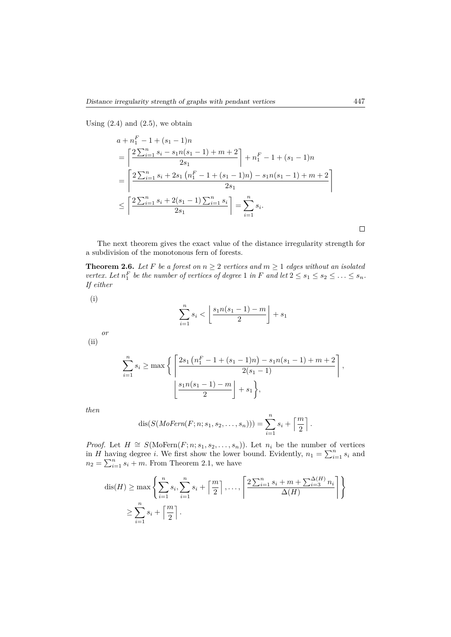Using  $(2.4)$  and  $(2.5)$ , we obtain

$$
a + n_1^F - 1 + (s_1 - 1)n
$$
  
=  $\left[ \frac{2 \sum_{i=1}^n s_i - s_1 n(s_1 - 1) + m + 2}{2s_1} \right] + n_1^F - 1 + (s_1 - 1)n$   
=  $\left[ \frac{2 \sum_{i=1}^n s_i + 2s_1 (n_1^F - 1 + (s_1 - 1)n) - s_1 n(s_1 - 1) + m + 2}{2s_1} \right]$   
 $\leq \left[ \frac{2 \sum_{i=1}^n s_i + 2(s_1 - 1) \sum_{i=1}^n s_i}{2s_1} \right] = \sum_{i=1}^n s_i.$ 

The next theorem gives the exact value of the distance irregularity strength for a subdivision of the monotonous fern of forests.

**Theorem 2.6.** *Let F be a forest on*  $n \geq 2$  *vertices and*  $m \geq 1$  *edges without an isolated vertex.* Let  $n_1^F$  be the number of vertices of degree 1 *in F* and let  $2 \le s_1 \le s_2 \le \ldots \le s_n$ . *If either*

(i)

$$
\sum_{i=1}^{n} s_i < \left\lfloor \frac{s_1 n (s_1 - 1) - m}{2} \right\rfloor + s_1
$$

*or* (ii)

$$
\sum_{i=1}^{n} s_i \ge \max \left\{ \left[ \frac{2s_1 (n_1^F - 1 + (s_1 - 1)n) - s_1 n(s_1 - 1) + m + 2}{2(s_1 - 1)} \right], \frac{s_1 n(s_1 - 1) - m}{2} \right\},\
$$

*.*

*then*

$$
dis(S(MoFern(F; n; s_1, s_2, \ldots, s_n))) = \sum_{i=1}^n s_i + \left\lceil \frac{m}{2} \right\rceil
$$

*Proof.* Let  $H \cong S(\text{MoFern}(F; n; s_1, s_2, \ldots, s_n))$ . Let  $n_i$  be the number of vertices in *H* having degree *i*. We first show the lower bound. Evidently,  $n_1 = \sum_{i=1}^n s_i$  and  $n_2 = \sum_{i=1}^n s_i + m$ . From Theorem 2.1, we have

$$
\operatorname{dis}(H) \ge \max \left\{ \sum_{i=1}^{n} s_i, \sum_{i=1}^{n} s_i + \left\lceil \frac{m}{2} \right\rceil, \dots, \left\lceil \frac{2\sum_{i=1}^{n} s_i + m + \sum_{i=3}^{\Delta(H)} n_i}{\Delta(H)} \right\rceil \right\}
$$
  

$$
\ge \sum_{i=1}^{n} s_i + \left\lceil \frac{m}{2} \right\rceil.
$$

 $\Box$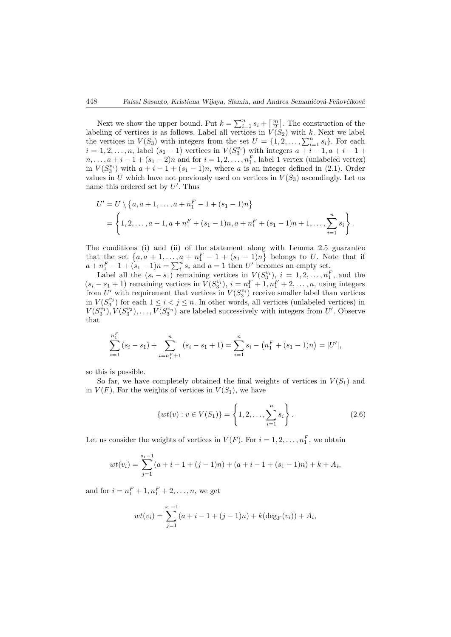Next we show the upper bound. Put  $k = \sum_{i=1}^{n} s_i + \lceil \frac{m}{2} \rceil$ . The construction of the labeling of vertices is as follows. Label all vertices in  $V(S_2)$  with k. Next we label the vertices in  $V(S_3)$  with integers from the set  $U = \{1, 2, \ldots, \sum_{i=1}^{n} s_i\}$ . For each  $i = 1, 2, \ldots, n$ , label  $(s_1 - 1)$  vertices in  $V(S_3^{v_i})$  with integers  $a + i - 1, a + i - 1 + \cdots$  $n, \ldots, a + i - 1 + (s_1 - 2)n$  and for  $i = 1, 2, \ldots, n_1^F$ , label 1 vertex (unlabeled vertex) in  $V(S_3^{v_i})$  with  $a + i - 1 + (s_1 - 1)n$ , where *a* is an integer defined in (2.1). Order values in *U* which have not previously used on vertices in  $V(S_3)$  ascendingly. Let us name this ordered set by U'. Thus

$$
U' = U \setminus \{a, a+1, \dots, a+n_1^F-1+(s_1-1)n\}
$$
  
= 
$$
\left\{1, 2, \dots, a-1, a+n_1^F+(s_1-1)n, a+n_1^F+(s_1-1)n+1, \dots, \sum_{i=1}^n s_i\right\}.
$$

The conditions (i) and (ii) of the statement along with Lemma 2.5 guarantee that the set  $\{a, a+1, \ldots, a+n_1^F-1+(s_1-1)n\}$  belongs to *U*. Note that if  $a + n_1^F - 1 + (s_1 - 1)n = \sum_i^n s_i$  and  $a = 1$  then *U'* becomes an empty set.

Label all the  $(s_i - s_1)$  remaining vertices in  $V(S_i^{v_i})$ ,  $i = 1, 2, ..., n_1^F$ , and the  $(s_i - s_1 + 1)$  remaining vertices in  $V(S_3^{v_i})$ ,  $i = n_1^F + 1, n_1^F + 2, ..., n$ , using integers from U' with requirement that vertices in  $V(S_3^{v_i})$  receive smaller label than vertices in  $V(S_3^{v_j})$  for each  $1 \leq i < j \leq n$ . In other words, all vertices (unlabeled vertices) in  $V(S_3^{v_1})$ ,  $V(S_3^{v_2})$ , ...,  $V(S_3^{v_n})$  are labeled successively with integers from *U*'. Observe that

$$
\sum_{i=1}^{n_1^F} (s_i - s_1) + \sum_{i=n_1^F+1}^{n} (s_i - s_1 + 1) = \sum_{i=1}^{n} s_i - (n_1^F + (s_1 - 1)n) = |U'|,
$$

so this is possible.

So far, we have completely obtained the final weights of vertices in  $V(S_1)$  and in  $V(F)$ . For the weights of vertices in  $V(S_1)$ , we have

$$
\{wt(v) : v \in V(S_1)\} = \left\{1, 2, \dots, \sum_{i=1}^n s_i\right\}.
$$
 (2.6)

Let us consider the weights of vertices in  $V(F)$ . For  $i = 1, 2, \ldots, n_1^F$ , we obtain

$$
wt(v_i) = \sum_{j=1}^{s_1-1} (a+i-1+(j-1)n) + (a+i-1+(s_1-1)n) + k + A_i,
$$

and for  $i = n_1^F + 1, n_1^F + 2, \ldots, n$ , we get

$$
wt(v_i) = \sum_{j=1}^{s_1-1} (a+i-1+(j-1)n) + k(\deg_F(v_i)) + A_i,
$$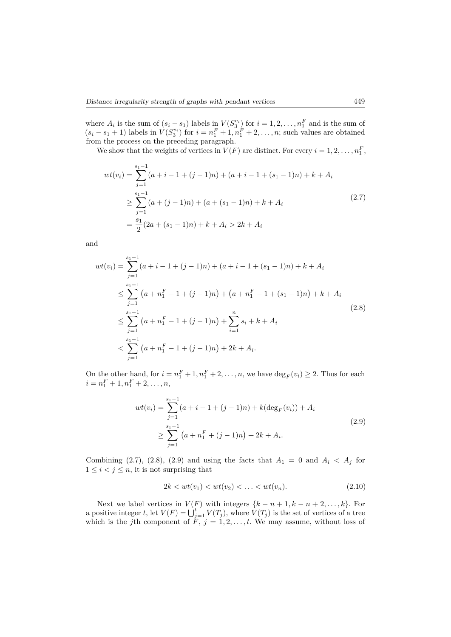where  $A_i$  is the sum of  $(s_i - s_1)$  labels in  $V(S_3^{v_i})$  for  $i = 1, 2, \ldots, n_1^F$  and is the sum of  $(s_i - s_1 + 1)$  labels in  $V(S_3^{v_i})$  for  $i = n_1^F + 1, n_1^F + 2, ..., n$ ; such values are obtained from the process on the preceding paragraph.

We show that the weights of vertices in  $V(F)$  are distinct. For every  $i = 1, 2, \ldots, n_1^F$ ,

$$
wt(v_i) = \sum_{j=1}^{s_1 - 1} (a + i - 1 + (j - 1)n) + (a + i - 1 + (s_1 - 1)n) + k + A_i
$$
  
\n
$$
\geq \sum_{j=1}^{s_1 - 1} (a + (j - 1)n) + (a + (s_1 - 1)n) + k + A_i
$$
  
\n
$$
= \frac{s_1}{2} (2a + (s_1 - 1)n) + k + A_i > 2k + A_i
$$
\n(2.7)

and

$$
wt(v_i) = \sum_{j=1}^{s_1-1} (a+i-1+(j-1)n) + (a+i-1+(s_1-1)n) + k + A_i
$$
  
\n
$$
\leq \sum_{j=1}^{s_1-1} (a+n_1^F - 1+(j-1)n) + (a+n_1^F - 1+(s_1-1)n) + k + A_i
$$
  
\n
$$
\leq \sum_{j=1}^{s_1-1} (a+n_1^F - 1+(j-1)n) + \sum_{i=1}^{n} s_i + k + A_i
$$
  
\n
$$
< \sum_{j=1}^{s_1-1} (a+n_1^F - 1+(j-1)n) + 2k + A_i.
$$
\n(2.8)

On the other hand, for  $i = n_1^F + 1, n_1^F + 2, \ldots, n$ , we have  $\deg_F(v_i) \geq 2$ . Thus for each  $i = n_1^F + 1, n_1^F + 2, \ldots, n,$ 

$$
wt(v_i) = \sum_{j=1}^{s_1 - 1} (a + i - 1 + (j - 1)n) + k(\deg_F(v_i)) + A_i
$$
  
 
$$
\geq \sum_{j=1}^{s_1 - 1} (a + n_1^F + (j - 1)n) + 2k + A_i.
$$
 (2.9)

Combining (2.7), (2.8), (2.9) and using the facts that  $A_1 = 0$  and  $A_i < A_j$  for  $1 \leq i < j \leq n$ , it is not surprising that

$$
2k < wt(v_1) < wt(v_2) < \ldots < wt(v_n). \tag{2.10}
$$

Next we label vertices in  $V(F)$  with integers  $\{k - n + 1, k - n + 2, \ldots, k\}$ . For a positive integer *t*, let  $V(F) = \bigcup_{j=1}^{t} V(T_j)$ , where  $V(T_j)$  is the set of vertices of a tree which is the *j*th component of  $\ddot{F}$ ,  $j = 1, 2, \ldots, t$ . We may assume, without loss of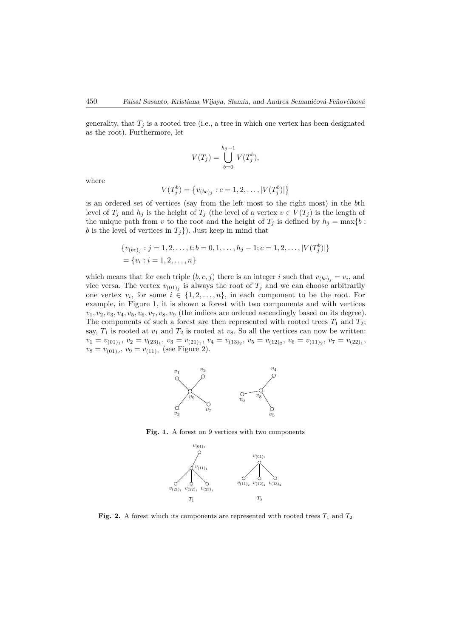generality, that  $T_j$  is a rooted tree (i.e., a tree in which one vertex has been designated as the root). Furthermore, let

$$
V(T_j) = \bigcup_{b=0}^{h_j - 1} V(T_j^b),
$$

where

$$
V(T_j^b) = \{v_{(bc)_j} : c = 1, 2, \dots, |V(T_j^b)|\}
$$

is an ordered set of vertices (say from the left most to the right most) in the *b*th level of  $T_j$  and  $h_j$  is the height of  $T_j$  (the level of a vertex  $v \in V(T_j)$  is the length of the unique path from *v* to the root and the height of  $T_j$  is defined by  $h_j = \max\{b:$ *b* is the level of vertices in  $T_j$ ). Just keep in mind that

{
$$
v_{(bc)_j}
$$
:  $j = 1, 2, ..., t; b = 0, 1, ..., h_j - 1; c = 1, 2, ..., |V(T_j^b)|$ }  
= { $v_i$ :  $i = 1, 2, ..., n$ }

which means that for each triple  $(b, c, j)$  there is an integer *i* such that  $v_{(bc)_j} = v_i$ , and vice versa. The vertex  $v_{(01)_j}$  is always the root of  $T_j$  and we can choose arbitrarily one vertex  $v_i$ , for some  $i \in \{1, 2, ..., n\}$ , in each component to be the root. For example, in Figure 1, it is shown a forest with two components and with vertices  $v_1, v_2, v_3, v_4, v_5, v_6, v_7, v_8, v_9$  (the indices are ordered ascendingly based on its degree). The components of such a forest are then represented with rooted trees  $T_1$  and  $T_2$ ; say,  $T_1$  is rooted at  $v_1$  and  $T_2$  is rooted at  $v_8$ . So all the vertices can now be written:  $v_1 = v_{(01)_1}, v_2 = v_{(23)_1}, v_3 = v_{(21)_1}, v_4 = v_{(13)_2}, v_5 = v_{(12)_2}, v_6 = v_{(11)_2}, v_7 = v_{(22)_1},$  $v_8 = v_{(01)_2}, v_9 = v_{(11)_1}$  (see Figure 2).



Fig. 1. A forest on 9 vertices with two components



**Fig. 2.** A forest which its components are represented with rooted trees  $T_1$  and  $T_2$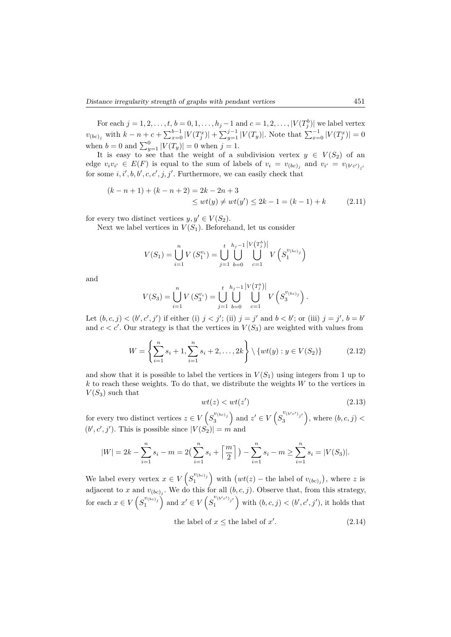For each  $j = 1, 2, ..., t, b = 0, 1, ..., h_j - 1$  and  $c = 1, 2, ..., |V(T_j^b)|$  we label vertex  $v_{(bc)_j}$  with  $k - n + c + \sum_{x=0}^{b-1} |V(T_j^x)| + \sum_{y=1}^{j-1} |V(T_y)|$ . Note that  $\sum_{x=0}^{1} |V(T_j^x)| = 0$ when  $b = 0$  and  $\sum_{y=1}^{0} |V(T_y)| = 0$  when  $j = 1$ .

It is easy to see that the weight of a subdivision vertex  $y \in V(S_2)$  of an edge  $v_i v_{i'} \in E(F)$  is equal to the sum of labels of  $v_i = v_{(bc)_j}$  and  $v_{i'} = v_{(b'c')_{j'}}$ for some  $i, i', b, b', c, c', j, j'$ . Furthermore, we can easily check that

$$
(k - n + 1) + (k - n + 2) = 2k - 2n + 3
$$
  
\n
$$
\leq wt(y) \neq wt(y') \leq 2k - 1 = (k - 1) + k
$$
 (2.11)

for every two distinct vertices  $y, y' \in V(S_2)$ .

Next we label vertices in  $V(S_1)$ . Beforehand, let us consider

$$
V(S_1) = \bigcup_{i=1}^{n} V(S_1^{v_i}) = \bigcup_{j=1}^{t} \bigcup_{b=0}^{h_j - 1} \bigcup_{c=1}^{|V(T_j^b)|} V(S_1^{v_{(bc)j}})
$$

and

$$
V(S_3) = \bigcup_{i=1}^n V(S_3^{v_i}) = \bigcup_{j=1}^t \bigcup_{b=0}^{h_j-1} \bigcup_{c=1}^{|V(T_j^b)|} V(S_3^{v_{(bc)_j}}\big).
$$

Let  $(b, c, j) < (b', c', j')$  if either (i)  $j < j'$ ; (ii)  $j = j'$  and  $b < b'$ ; or (iii)  $j = j'$ ,  $b = b'$ and  $c < c'$ . Our strategy is that the vertices in  $V(S_3)$  are weighted with values from

$$
W = \left\{ \sum_{i=1}^{n} s_i + 1, \sum_{i=1}^{n} s_i + 2, \dots, 2k \right\} \setminus \{ wt(y) : y \in V(S_2) \}
$$
 (2.12)

and show that it is possible to label the vertices in  $V(S_1)$  using integers from 1 up to *k* to reach these weights. To do that, we distribute the weights *W* to the vertices in  $V(S_3)$  such that

$$
wt(z) < wt(z') \tag{2.13}
$$

for every two distinct vertices  $z \in V\left(S_3^{v_{(bc)}j}\right)$  and  $z' \in V\left(S_3^{v_{(b'c')j'}}\right)$ , where  $(b, c, j)$  $(b', c', j')$ . This is possible since  $|V(S_2)| = m$  and

$$
|W| = 2k - \sum_{i=1}^{n} s_i - m = 2\left(\sum_{i=1}^{n} s_i + \left\lceil \frac{m}{2} \right\rceil\right) - \sum_{i=1}^{n} s_i - m \ge \sum_{i=1}^{n} s_i = |V(S_3)|.
$$

We label every vertex  $x \in V\left(S_1^{v_{(bc)}j}\right)$  with  $\left(wt(z) - \text{the label of } v_{(bc)j}\right)$ , where z is adjacent to *x* and  $v_{(bc)_j}$ . We do this for all  $(b, c, j)$ . Observe that, from this strategy, for each  $x \in V(S_1^{v_{(bc)}j})$  and  $x' \in V(S_1^{v_{(b'c')j'}})$  with  $(b, c, j) < (b', c', j')$ , it holds that

the label of 
$$
x \leq
$$
 the label of  $x'$ . (2.14)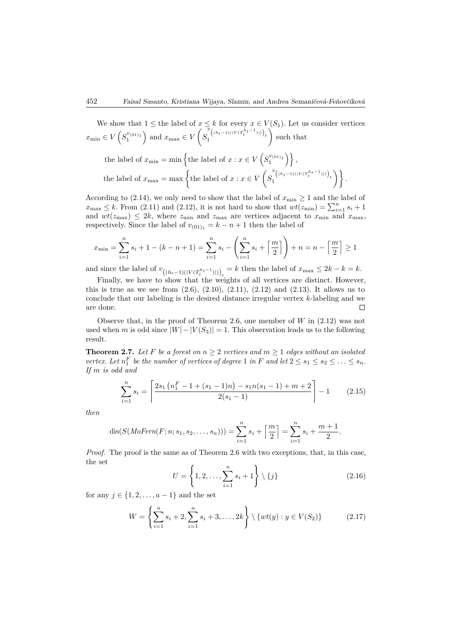We show that  $1 \leq$  the label of  $x \leq k$  for every  $x \in V(S_1)$ . Let us consider vertices  $x_{\min} \in V\left(S_1^{v_{(01)_1}}\right)$  and  $x_{\max} \in V$  $\sqrt{ }$ *S*  $\int_{t}^{\overline{v}} ((h_t-1)(|V(T_t^{h_t-1})|))_t$ ). such that

$$
\begin{aligned} &\text{the label of }x_{\text{min}}=\min\left\{\text{the label of }x:x\in V\left(S_1^{v_{(01)_1}}\right)\right\},\\ &\text{the label of }x_{\text{max}}=\max\left\{\text{the label of }x:x\in V\left(S_1^{v_{\left((h_t-1)(\lfloor V(T_t^{h_t-1})\rfloor)}\right)_t}\right)\right\}. \end{aligned}
$$

According to (2.14), we only need to show that the label of  $x_{\min} \ge 1$  and the label of  $x_{\text{max}} \leq k$ . From (2.11) and (2.12), it is not hard to show that  $wt(z_{\text{min}}) = \sum_{i=1}^{n} s_i + 1$ and  $wt(z_{\text{max}}) \leq 2k$ , where  $z_{\text{min}}$  and  $z_{\text{max}}$  are vertices adjacent to  $x_{\text{min}}$  and  $x_{\text{max}}$ , respectively. Since the label of  $v_{(01)_1} = k - n + 1$  then the label of

$$
x_{\min} = \sum_{i=1}^{n} s_i + 1 - (k - n + 1) = \sum_{i=1}^{n} s_i - \left(\sum_{i=1}^{n} s_i + \left\lceil \frac{m}{2} \right\rceil\right) + n = n - \left\lceil \frac{m}{2} \right\rceil \ge 1
$$

and since the label of  $v_{\left(\frac{h_t-1}{V(T_t^{h_t-1})}\right)_t} = k$  then the label of  $x_{\max} \leq 2k - k = k$ .

Finally, we have to show that the weights of all vertices are distinct. However, this is true as we see from  $(2.6)$ ,  $(2.10)$ ,  $(2.11)$ ,  $(2.12)$  and  $(2.13)$ . It allows us to conclude that our labeling is the desired distance irregular vertex *k*-labeling and we are done.  $\Box$ 

Observe that, in the proof of Theorem 2.6, one member of *W* in (2.12) was not used when *m* is odd since  $|W| - |V(S_3)| = 1$ . This observation leads us to the following result.

**Theorem 2.7.** Let F be a forest on  $n \geq 2$  vertices and  $m \geq 1$  edges without an isolated *vertex.* Let  $n_1^F$  be the number of vertices of degree 1 *in F* and let  $2 \le s_1 \le s_2 \le \ldots \le s_n$ . *If m is odd and*

$$
\sum_{i=1}^{n} s_i = \left\lceil \frac{2s_1\left(n_1^F - 1 + (s_1 - 1)n\right) - s_1 n(s_1 - 1) + m + 2}{2(s_1 - 1)} \right\rceil - 1 \tag{2.15}
$$

*then*

dis
$$
(S(MoFern(F; n; s_1, s_2, ..., s_n))) = \sum_{i=1}^{n} s_i + \left\lceil \frac{m}{2} \right\rceil = \sum_{i=1}^{n} s_i + \frac{m+1}{2}.
$$

*Proof.* The proof is the same as of Theorem 2.6 with two exceptions, that, in this case, the set

$$
U = \left\{1, 2, \dots, \sum_{i=1}^{n} s_i + 1\right\} \setminus \{j\}
$$
\n(2.16)

for any  $j \in \{1, 2, ..., a - 1\}$  and the set

$$
W = \left\{ \sum_{i=1}^{n} s_i + 2, \sum_{i=1}^{n} s_i + 3, \dots, 2k \right\} \setminus \{ wt(y) : y \in V(S_2) \}
$$
 (2.17)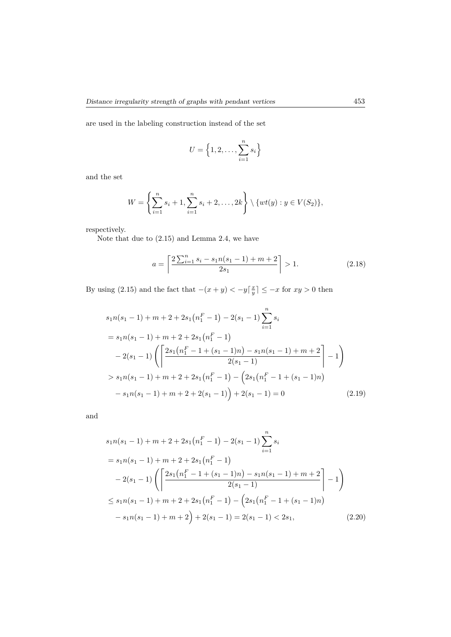are used in the labeling construction instead of the set

$$
U = \left\{1, 2, \ldots, \sum_{i=1}^{n} s_i\right\}
$$

and the set

$$
W = \left\{ \sum_{i=1}^{n} s_i + 1, \sum_{i=1}^{n} s_i + 2, \dots, 2k \right\} \setminus \{ wt(y) : y \in V(S_2) \},
$$

respectively.

Note that due to (2.15) and Lemma 2.4, we have

$$
a = \left\lceil \frac{2\sum_{i=1}^{n} s_i - s_1 n(s_1 - 1) + m + 2}{2s_1} \right\rceil > 1. \tag{2.18}
$$

By using (2.15) and the fact that  $-(x + y) < -y\left[\frac{x}{y}\right] \leq -x$  for  $xy > 0$  then

$$
s_1 n(s_1 - 1) + m + 2 + 2s_1(n_1^F - 1) - 2(s_1 - 1) \sum_{i=1}^n s_i
$$
  
=  $s_1 n(s_1 - 1) + m + 2 + 2s_1(n_1^F - 1)$   
 $- 2(s_1 - 1) \left( \left\lceil \frac{2s_1(n_1^F - 1 + (s_1 - 1)n) - s_1 n(s_1 - 1) + m + 2}{2(s_1 - 1)} \right\rceil - 1 \right)$   
>  $s_1 n(s_1 - 1) + m + 2 + 2s_1(n_1^F - 1) - \left( 2s_1(n_1^F - 1 + (s_1 - 1)n) - s_1 n(s_1 - 1) + m + 2 + 2(s_1 - 1) \right) + 2(s_1 - 1) = 0$  (2.19)

and

$$
s_1 n(s_1 - 1) + m + 2 + 2s_1(n_1^F - 1) - 2(s_1 - 1) \sum_{i=1}^n s_i
$$
  
=  $s_1 n(s_1 - 1) + m + 2 + 2s_1(n_1^F - 1)$   
 $- 2(s_1 - 1) \left( \left[ \frac{2s_1(n_1^F - 1 + (s_1 - 1)n) - s_1 n(s_1 - 1) + m + 2}{2(s_1 - 1)} \right] - 1 \right)$   
 $\leq s_1 n(s_1 - 1) + m + 2 + 2s_1(n_1^F - 1) - \left( 2s_1(n_1^F - 1 + (s_1 - 1)n) - s_1 n(s_1 - 1) + m + 2 \right) + 2(s_1 - 1) = 2(s_1 - 1) < 2s_1,$  (2.20)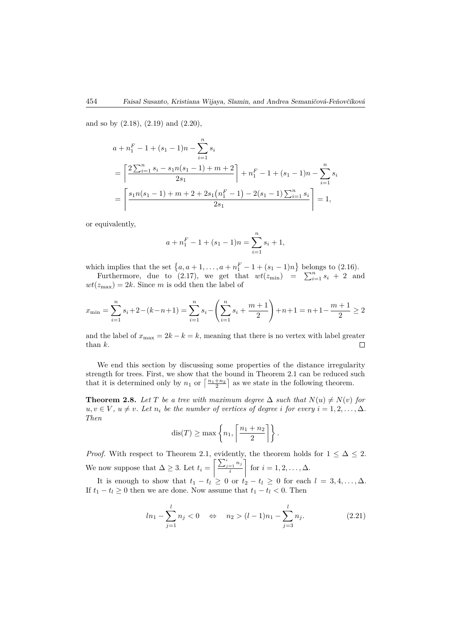and so by (2.18), (2.19) and (2.20),

$$
a + n_1^F - 1 + (s_1 - 1)n - \sum_{i=1}^n s_i
$$
  
= 
$$
\left[ \frac{2 \sum_{i=1}^n s_i - s_1 n(s_1 - 1) + m + 2}{2s_1} \right] + n_1^F - 1 + (s_1 - 1)n - \sum_{i=1}^n s_i
$$
  
= 
$$
\left[ \frac{s_1 n(s_1 - 1) + m + 2 + 2s_1(n_1^F - 1) - 2(s_1 - 1) \sum_{i=1}^n s_i}{2s_1} \right] = 1,
$$

or equivalently,

$$
a + n_1^F - 1 + (s_1 - 1)n = \sum_{i=1}^n s_i + 1,
$$

which implies that the set  $\{a, a+1, ..., a+n_1^F-1+(s_1-1)n\}$  belongs to (2.16).

Furthermore, due to (2.17), we get that  $wt(z_{\text{min}}) = \sum_{i=1}^{n} s_i + 2$  and  $wt(z_{\text{max}}) = 2k$ . Since *m* is odd then the label of

$$
x_{\min} = \sum_{i=1}^{n} s_i + 2 - (k - n + 1) = \sum_{i=1}^{n} s_i - \left(\sum_{i=1}^{n} s_i + \frac{m+1}{2}\right) + n + 1 = n + 1 - \frac{m+1}{2} \ge 2
$$

and the label of  $x_{\text{max}} = 2k - k = k$ , meaning that there is no vertex with label greater than  $k$ . than *k*.

We end this section by discussing some properties of the distance irregularity strength for trees. First, we show that the bound in Theorem 2.1 can be reduced such that it is determined only by  $n_1$  or  $\left\lceil \frac{n_1+n_2}{2} \right\rceil$  as we state in the following theorem.

**Theorem 2.8.** *Let T be a tree with maximum degree*  $\Delta$  *such that*  $N(u) \neq N(v)$  *for*  $u, v \in V$ ,  $u \neq v$ *. Let*  $n_i$  *be the number of vertices of degree i for every*  $i = 1, 2, \ldots, \Delta$ *. Then*

$$
dis(T) \ge \max\left\{n_1, \left\lceil \frac{n_1 + n_2}{2} \right\rceil \right\}.
$$

*Proof.* With respect to Theorem 2.1, evidently, the theorem holds for  $1 \leq \Delta \leq 2$ . We now suppose that  $\Delta \geq 3$ . Let  $t_i =$  $\sum_{j=1}^i n_j$ *i* Ī. for  $i = 1, 2, ..., \Delta$ .

It is enough to show that  $t_1 - t_l \geq 0$  or  $t_2 - t_l \geq 0$  for each  $l = 3, 4, \ldots, \Delta$ . If  $t_1 - t_l \geq 0$  then we are done. Now assume that  $t_1 - t_l < 0$ . Then

$$
ln_1 - \sum_{j=1}^{l} n_j < 0 \quad \Leftrightarrow \quad n_2 > (l-1)n_1 - \sum_{j=3}^{l} n_j.
$$
 (2.21)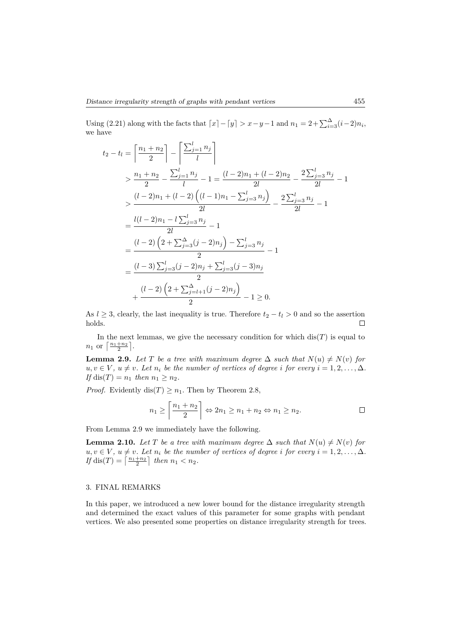Using (2.21) along with the facts that  $[x] - [y] > x - y - 1$  and  $n_1 = 2 + \sum_{i=3}^{4} (i-2)n_i$ , we have

$$
t_2 - t_l = \left\lceil \frac{n_1 + n_2}{2} \right\rceil - \left\lceil \frac{\sum_{j=1}^{l} n_j}{l} \right\rceil
$$
  
\n
$$
> \frac{n_1 + n_2}{2} - \frac{\sum_{j=1}^{l} n_j}{l} - 1 = \frac{(l-2)n_1 + (l-2)n_2}{2l} - \frac{2\sum_{j=3}^{l} n_j}{2l} - 1
$$
  
\n
$$
> \frac{(l-2)n_1 + (l-2)\left((l-1)n_1 - \sum_{j=3}^{l} n_j\right)}{2l} - \frac{2\sum_{j=3}^{l} n_j}{2l} - 1
$$
  
\n
$$
= \frac{l(l-2)n_1 - l\sum_{j=3}^{l} n_j}{2l} - 1
$$
  
\n
$$
= \frac{(l-2)\left(2 + \sum_{j=3}^{n} (j-2)n_j\right) - \sum_{j=3}^{l} n_j}{2} - 1
$$
  
\n
$$
= \frac{(l-3)\sum_{j=3}^{l} (j-2)n_j + \sum_{j=3}^{l} (j-3)n_j}{2}
$$
  
\n
$$
+ \frac{(l-2)\left(2 + \sum_{j=l+1}^{n} (j-2)n_j\right)}{2} - 1 \ge 0.
$$

As *l* ≥ 3, clearly, the last inequality is true. Therefore  $t_2 - t_l > 0$  and so the assertion holds. holds.

In the next lemmas, we give the necessary condition for which  $dis(T)$  is equal to  $n_1$  or  $\left\lceil \frac{n_1+n_2}{2} \right\rceil$ .

**Lemma 2.9.** *Let T be a tree with maximum degree*  $\Delta$  *such that*  $N(u) \neq N(v)$  *for*  $u, v \in V$ ,  $u \neq v$ *. Let*  $n_i$  *be the number of vertices of degree i for every*  $i = 1, 2, \ldots, \Delta$ *. If* dis(*T*) =  $n_1$  *then*  $n_1 \geq n_2$ *.* 

*Proof.* Evidently dis(*T*)  $\geq n_1$ . Then by Theorem 2.8,

$$
n_1 \ge \left\lceil \frac{n_1 + n_2}{2} \right\rceil \Leftrightarrow 2n_1 \ge n_1 + n_2 \Leftrightarrow n_1 \ge n_2.
$$

From Lemma 2.9 we immediately have the following.

**Lemma 2.10.** *Let T be a tree with maximum degree*  $\Delta$  *such that*  $N(u) \neq N(v)$  *for*  $u, v \in V$ ,  $u \neq v$ *. Let*  $n_i$  *be the number of vertices of degree i for every*  $i = 1, 2, \ldots, \Delta$ *.*  $If$  dis $(T) = \left\lceil \frac{n_1+n_2}{2} \right\rceil$  *then*  $n_1 < n_2$ *.* 

## 3. FINAL REMARKS

In this paper, we introduced a new lower bound for the distance irregularity strength and determined the exact values of this parameter for some graphs with pendant vertices. We also presented some properties on distance irregularity strength for trees.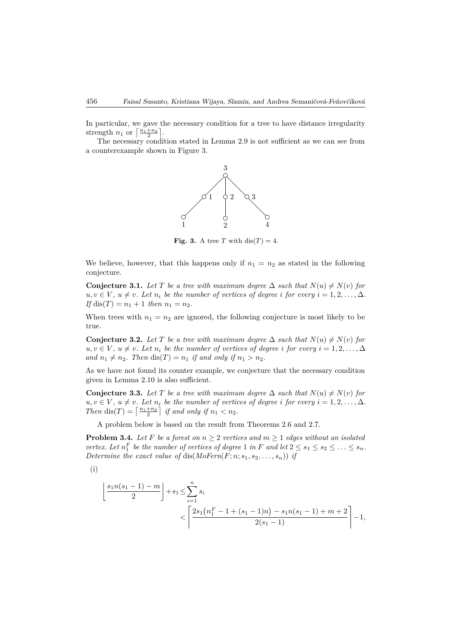In particular, we gave the necessary condition for a tree to have distance irregularity strength  $n_1$  or  $\left\lceil \frac{n_1+n_2}{2} \right\rceil$ .

The necessary condition stated in Lemma 2.9 is not sufficient as we can see from a counterexample shown in Figure 3.



**Fig. 3.** A tree *T* with dis $(T) = 4$ .

We believe, however, that this happens only if  $n_1 = n_2$  as stated in the following conjecture.

**Conjecture 3.1.** *Let T be a tree with maximum degree*  $\Delta$  *such that*  $N(u) \neq N(v)$  *for*  $u, v \in V$ ,  $u \neq v$ *. Let*  $n_i$  *be the number of vertices of degree i for every*  $i = 1, 2, \ldots, \Delta$ *. If* dis(*T*) =  $n_1 + 1$  *then*  $n_1 = n_2$ *.* 

When trees with  $n_1 = n_2$  are ignored, the following conjecture is most likely to be true.

**Conjecture 3.2.** *Let*  $T$  *be a tree with maximum degree*  $\Delta$  *such that*  $N(u) \neq N(v)$  *for*  $u, v \in V$ ,  $u \neq v$ . Let  $n_i$  be the number of vertices of degree *i* for every  $i = 1, 2, \ldots, \Delta$ *and*  $n_1 \neq n_2$ *. Then* dis(*T*) =  $n_1$  *if and only if*  $n_1 > n_2$ *.* 

As we have not found its counter example, we conjecture that the necessary condition given in Lemma 2.10 is also sufficient.

**Conjecture 3.3.** *Let T be a tree with maximum degree*  $\Delta$  *such that*  $N(u) \neq N(v)$  *for*  $u, v \in V$ ,  $u \neq v$ *. Let*  $n_i$  *be the number of vertices of degree i for every*  $i = 1, 2, \ldots, \Delta$ *. Then*  $dis(T) = \left\lceil \frac{n_1+n_2}{2} \right\rceil$  *if and only if*  $n_1 < n_2$ *.* 

A problem below is based on the result from Theorems 2.6 and 2.7.

**Problem 3.4.** Let F be a forest on  $n \geq 2$  vertices and  $m \geq 1$  edges without an isolated *vertex.* Let  $n_1^F$  be the number of vertices of degree 1 in *F* and let  $2 \le s_1 \le s_2 \le \ldots \le s_n$ . *Determine the exact value of dis(* $MoFern(F; n; s_1, s_2, \ldots, s_n)$ *) if* 

$$
(\mathrm{i})
$$

$$
\left\lfloor \frac{s_1 n(s_1 - 1) - m}{2} \right\rfloor + s_1 \le \sum_{i=1}^n s_i
$$
  

$$
< \left\lceil \frac{2s_1(n_1^F - 1 + (s_1 - 1)n) - s_1 n(s_1 - 1) + m + 2}{2(s_1 - 1)} \right\rceil - 1,
$$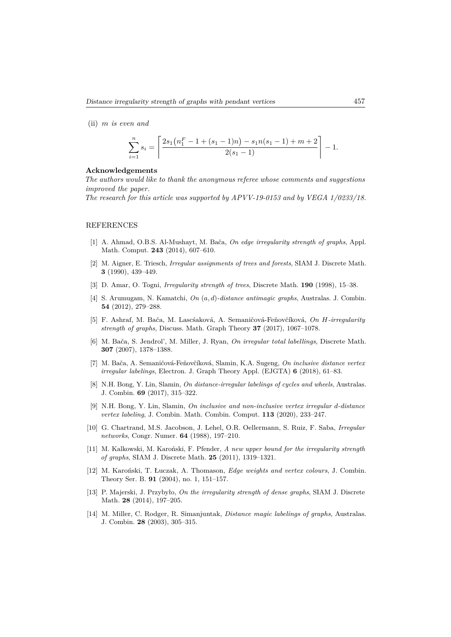(ii) *m is even and*

$$
\sum_{i=1}^{n} s_i = \left\lceil \frac{2s_1(n_1^F - 1 + (s_1 - 1)n) - s_1 n(s_1 - 1) + m + 2}{2(s_1 - 1)} \right\rceil - 1.
$$

### **Acknowledgements**

*The authors would like to thank the anonymous referee whose comments and suggestions improved the paper.*

*The research for this article was supported by APVV-19-0153 and by VEGA 1/0233/18.*

#### REFERENCES

- [1] A. Ahmad, O.B.S. Al-Mushayt, M. Bača, *On edge irregularity strength of graphs*, Appl. Math. Comput. **243** (2014), 607–610.
- [2] M. Aigner, E. Triesch, *Irregular assignments of trees and forests*, SIAM J. Discrete Math. **3** (1990), 439–449.
- [3] D. Amar, O. Togni, *Irregularity strength of trees*, Discrete Math. **190** (1998), 15–38.
- [4] S. Arumugam, N. Kamatchi, *On* (*a, d*)*-distance antimagic graphs*, Australas. J. Combin. **54** (2012), 279–288.
- [5] F. Ashraf, M. Bača, M. Lascśaková, A. Semaničová-Feňovčíková, *On H-irregularity strength of graphs*, Discuss. Math. Graph Theory **37** (2017), 1067–1078.
- [6] M. Bača, S. Jendrol', M. Miller, J. Ryan, *On irregular total labellings*, Discrete Math. **307** (2007), 1378–1388.
- [7] M. Bača, A. Semaničová-Feňovčíková, Slamin, K.A. Sugeng, *On inclusive distance vertex irregular labelings*, Electron. J. Graph Theory Appl. (EJGTA) **6** (2018), 61–83.
- [8] N.H. Bong, Y. Lin, Slamin, *On distance-irregular labelings of cycles and wheels*, Australas. J. Combin. **69** (2017), 315–322.
- [9] N.H. Bong, Y. Lin, Slamin, *On inclusive and non-inclusive vertex irregular d-distance vertex labeling*, J. Combin. Math. Combin. Comput. **113** (2020), 233–247.
- [10] G. Chartrand, M.S. Jacobson, J. Lehel, O.R. Oellermann, S. Ruiz, F. Saba, *Irregular networks*, Congr. Numer. **64** (1988), 197–210.
- [11] M. Kalkowski, M. Karoński, F. Pfender, *A new upper bound for the irregularity strength of graphs*, SIAM J. Discrete Math. **25** (2011), 1319–1321.
- [12] M. Karoński, T. Łuczak, A. Thomason, *Edge weights and vertex colours*, J. Combin. Theory Ser. B. **91** (2004), no. 1, 151–157.
- [13] P. Majerski, J. Przybyło, *On the irregularity strength of dense graphs*, SIAM J. Discrete Math. **28** (2014), 197–205.
- [14] M. Miller, C. Rodger, R. Simanjuntak, *Distance magic labelings of graphs*, Australas. J. Combin. **28** (2003), 305–315.